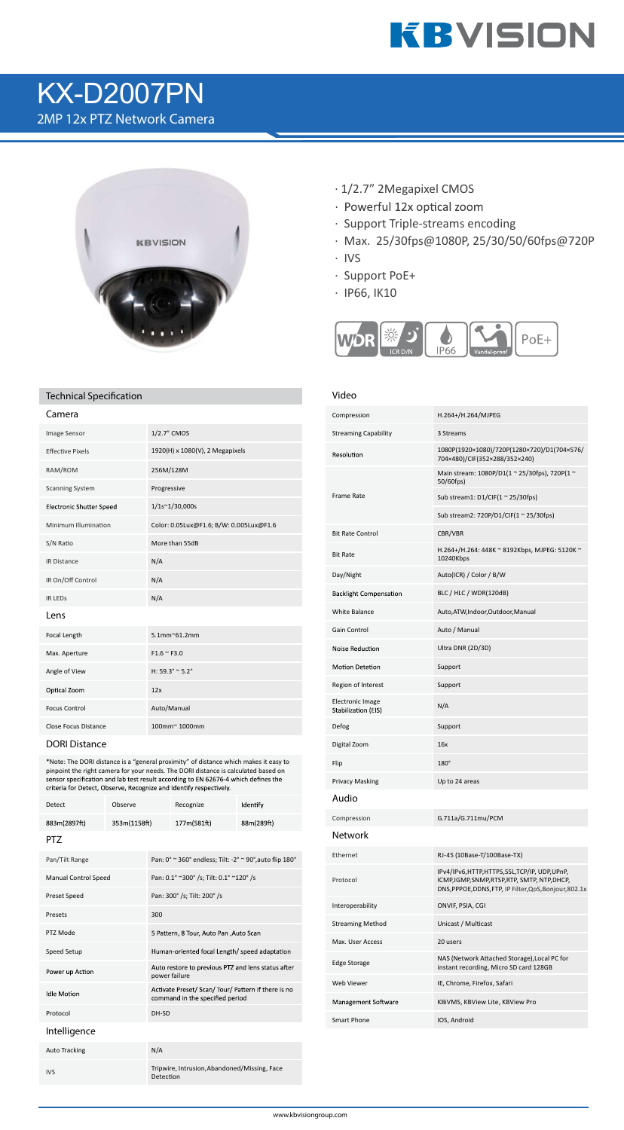

# KX-D2007PN 2MP 12x PTZ Network Camera



## **Technical Specication Video**

| Camera                          |                                         |
|---------------------------------|-----------------------------------------|
| <b>Image Sensor</b>             | 1/2.7" CMOS                             |
| <b>Effective Pixels</b>         | 1920(H) x 1080(V), 2 Megapixels         |
| RAM/ROM                         | 256M/128M                               |
| <b>Scanning System</b>          | Progressive                             |
| <b>Electronic Shutter Speed</b> | 1/1s~1/30,000s                          |
| Minimum Illumination            | Color: 0.05Lux@F1.6; B/W: 0.005Lux@F1.6 |
| S/N Ratio                       | More than 55dB                          |
| <b>IR Distance</b>              | N/A                                     |
| IR On/Off Control               | N/A                                     |
| <b>IR LEDS</b>                  | N/A                                     |
| Lens                            |                                         |
| Focal Length                    | $5.1$ mm $^{\circ}61.2$ mm              |
| Max. Aperture                   | $F1.6 \approx F3.0$                     |
| Angle of View                   | H: $59.3^{\circ} \approx 5.2^{\circ}$   |
| Optical Zoom                    | 12x                                     |
| <b>Focus Control</b>            | Auto/Manual                             |
| <b>Close Focus Distance</b>     | 100mm~1000mm                            |

**DORI Distance**

\*Note: The DORI distance is a "general proximity" of distance which makes it easy to pinpoint the right camera for your needs. The DORI distance is calculated based on<br>sensor specification and lab test result according to EN 62676-4 which defines the criteria for Detect, Observe, Recognize and Identify respectively.

| <b>Detect</b>               | Observe      |               | Recognize                                                                              | Identify   |  |
|-----------------------------|--------------|---------------|----------------------------------------------------------------------------------------|------------|--|
| 883m(2897ft)                | 353m(1158ft) |               | 177m(581ft)                                                                            | 88m(289ft) |  |
| PT7                         |              |               |                                                                                        |            |  |
| Pan/Tilt Range              |              |               | Pan: 0° ~ 360° endless; Tilt: -2° ~ 90°, auto flip 180°                                |            |  |
| <b>Manual Control Speed</b> |              |               | Pan: 0.1° ~300° /s; Tilt: 0.1° ~120° /s                                                |            |  |
| Preset Speed                |              |               | Pan: 300° /s; Tilt: 200° /s                                                            |            |  |
| Presets                     |              | 300           |                                                                                        |            |  |
| PTZ Mode                    |              |               | 5 Pattern, 8 Tour, Auto Pan , Auto Scan                                                |            |  |
| Speed Setup                 |              |               | Human-oriented focal Length/ speed adaptation                                          |            |  |
| Power up Action             |              | power failure | Auto restore to previous PTZ and lens status after                                     |            |  |
| <b>Idle Motion</b>          |              |               | Activate Preset/ Scan/ Tour/ Pattern if there is no<br>command in the specified period |            |  |
| Protocol                    |              | DH-SD         |                                                                                        |            |  |
| Intelligence                |              |               |                                                                                        |            |  |
| <b>Auto Tracking</b>        |              | N/A           |                                                                                        |            |  |
| <b>IVS</b>                  |              | Detection     | Tripwire, Intrusion, Abandoned/Missing, Face                                           |            |  |

- · 1/2.7" 2Megapixel CMOS
- · Powerful 12x optical zoom
- · Support Triple-streams encoding
- · Max. 25/30fps@1080P, 25/30/50/60fps@720P
- · IVS
- · Support PoE+
- · IP66, IK10



| Compression                                    | H.264+/H.264/MJPEG                                                                                                                                    |
|------------------------------------------------|-------------------------------------------------------------------------------------------------------------------------------------------------------|
| <b>Streaming Capability</b>                    | 3 Streams                                                                                                                                             |
| Resolution                                     | 1080P(1920×1080)/720P(1280×720)/D1(704×576/<br>704×480)/CIF(352×288/352×240)                                                                          |
| <b>Frame Rate</b>                              | Main stream: 1080P/D1(1 ~ 25/30fps), 720P(1 ~<br>50/60fps)                                                                                            |
|                                                | Sub stream1: $D1/CIF(1 ~ 25/30fps)$                                                                                                                   |
|                                                | Sub stream2: 720P/D1/CIF(1 ~ 25/30fps)                                                                                                                |
| <b>Bit Rate Control</b>                        | CBR/VBR                                                                                                                                               |
| <b>Bit Rate</b>                                | H.264+/H.264: 448K ~ 8192Kbps, MJPEG: 5120K ~<br>10240Kbps                                                                                            |
| Day/Night                                      | Auto(ICR) / Color / B/W                                                                                                                               |
| <b>Backlight Compensation</b>                  | BLC / HLC / WDR(120dB)                                                                                                                                |
| <b>White Balance</b>                           | Auto, ATW, Indoor, Outdoor, Manual                                                                                                                    |
| Gain Control                                   | Auto / Manual                                                                                                                                         |
| Noise Reduction                                | Ultra DNR (2D/3D)                                                                                                                                     |
| <b>Motion Detetion</b>                         | Support                                                                                                                                               |
| Region of Interest                             | Support                                                                                                                                               |
| <b>Electronic Image</b><br>Stabilization (EIS) | N/A                                                                                                                                                   |
| Defog                                          | Support                                                                                                                                               |
| Digital Zoom                                   | 16x                                                                                                                                                   |
| Flip                                           | $180^\circ$                                                                                                                                           |
| <b>Privacy Masking</b>                         | Up to 24 areas                                                                                                                                        |
| Audio                                          |                                                                                                                                                       |
| Compression                                    | G.711a/G.711mu/PCM                                                                                                                                    |
| Network                                        |                                                                                                                                                       |
| Ethernet                                       | RJ-45 (10Base-T/100Base-TX)                                                                                                                           |
| Protocol                                       | IPv4/IPv6,HTTP,HTTPS,SSL,TCP/IP, UDP,UPnP,<br>ICMP, IGMP, SNMP, RTSP, RTP, SMTP, NTP, DHCP,<br>DNS, PPPOE, DDNS, FTP, IP Filter, QoS, Bonjour, 802.1x |
| Interoperability                               | ONVIF, PSIA, CGI                                                                                                                                      |
| <b>Streaming Method</b>                        | Unicast / Multicast                                                                                                                                   |
| Max. User Access                               | 20 users                                                                                                                                              |
| Edge Storage                                   | NAS (Network Attached Storage), Local PC for<br>instant recording, Micro SD card 128GB                                                                |
| <b>Web Viewer</b>                              | IE, Chrome, Firefox, Safari                                                                                                                           |
| Management Software                            | KBIVMS, KBView Lite, KBView Pro                                                                                                                       |
| Smart Phone                                    | IOS, Android                                                                                                                                          |